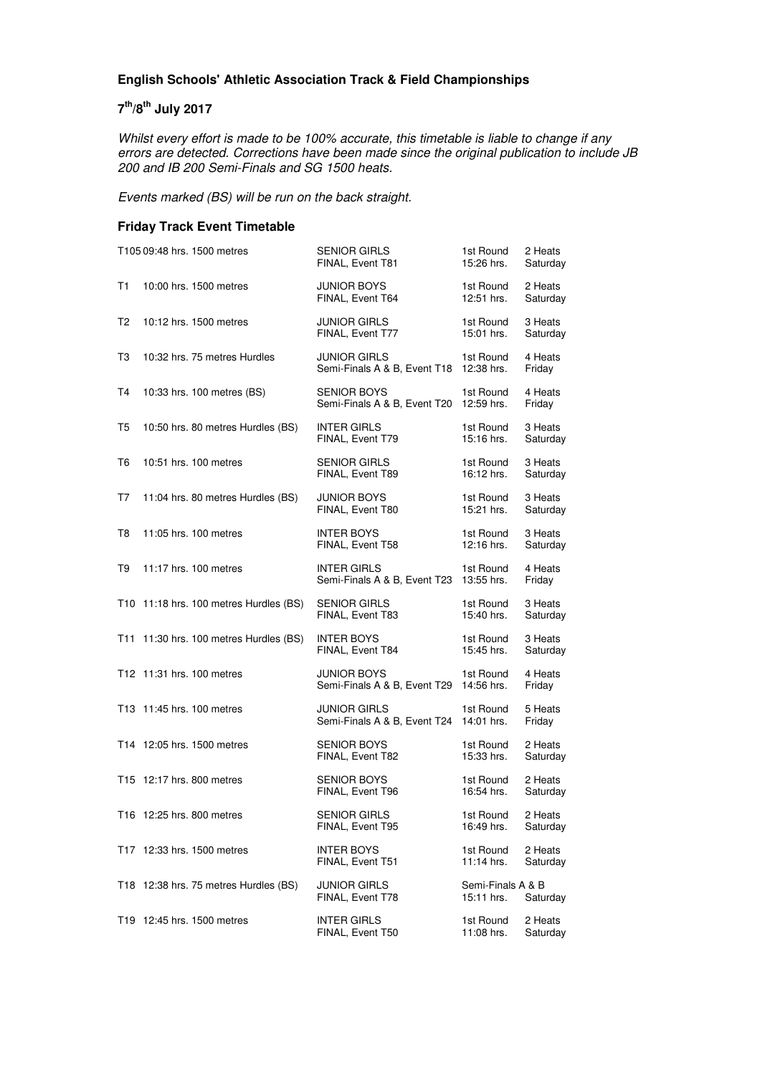#### **English Schools' Athletic Association Track & Field Championships**

#### **7 th/8th July 2017**

Whilst every effort is made to be 100% accurate, this timetable is liable to change if any errors are detected. Corrections have been made since the original publication to include JB 200 and IB 200 Semi-Finals and SG 1500 heats.

Events marked (BS) will be run on the back straight.

#### **Friday Track Event Timetable**

|                | T105 09:48 hrs. 1500 metres            | <b>SENIOR GIRLS</b><br>FINAL, Event T81             | 1st Round<br>15:26 hrs.         | 2 Heats<br>Saturday |
|----------------|----------------------------------------|-----------------------------------------------------|---------------------------------|---------------------|
| T1             | 10:00 hrs. 1500 metres                 | <b>JUNIOR BOYS</b><br>FINAL, Event T64              | 1st Round<br>12:51 hrs.         | 2 Heats<br>Saturday |
| T2             | 10:12 hrs. 1500 metres                 | <b>JUNIOR GIRLS</b><br>FINAL, Event T77             | 1st Round<br>15:01 hrs.         | 3 Heats<br>Saturday |
| T3             | 10:32 hrs. 75 metres Hurdles           | <b>JUNIOR GIRLS</b><br>Semi-Finals A & B, Event T18 | 1st Round<br>12:38 hrs.         | 4 Heats<br>Friday   |
| T4             | 10:33 hrs. 100 metres (BS)             | <b>SENIOR BOYS</b><br>Semi-Finals A & B, Event T20  | 1st Round<br>12:59 hrs.         | 4 Heats<br>Friday   |
| T <sub>5</sub> | 10:50 hrs. 80 metres Hurdles (BS)      | <b>INTER GIRLS</b><br>FINAL, Event T79              | 1st Round<br>15:16 hrs.         | 3 Heats<br>Saturday |
| T6             | 10:51 hrs. 100 metres                  | <b>SENIOR GIRLS</b><br>FINAL, Event T89             | 1st Round<br>16:12 hrs.         | 3 Heats<br>Saturday |
| T7             | 11:04 hrs. 80 metres Hurdles (BS)      | <b>JUNIOR BOYS</b><br>FINAL, Event T80              | 1st Round<br>15:21 hrs.         | 3 Heats<br>Saturday |
| T8             | 11:05 hrs. 100 metres                  | <b>INTER BOYS</b><br>FINAL, Event T58               | 1st Round<br>12:16 hrs.         | 3 Heats<br>Saturday |
| T9             | 11:17 hrs. 100 metres                  | <b>INTER GIRLS</b><br>Semi-Finals A & B, Event T23  | 1st Round<br>13:55 hrs.         | 4 Heats<br>Friday   |
|                | T10 11:18 hrs. 100 metres Hurdles (BS) | <b>SENIOR GIRLS</b><br>FINAL, Event T83             | 1st Round<br>15:40 hrs.         | 3 Heats<br>Saturday |
|                | T11 11:30 hrs. 100 metres Hurdles (BS) | <b>INTER BOYS</b><br>FINAL, Event T84               | 1st Round<br>15:45 hrs.         | 3 Heats<br>Saturday |
|                | T12 11:31 hrs. 100 metres              | <b>JUNIOR BOYS</b><br>Semi-Finals A & B, Event T29  | 1st Round<br>14:56 hrs.         | 4 Heats<br>Friday   |
|                | T13 11:45 hrs. 100 metres              | <b>JUNIOR GIRLS</b><br>Semi-Finals A & B, Event T24 | 1st Round<br>14:01 hrs.         | 5 Heats<br>Friday   |
|                | T14 12:05 hrs. 1500 metres             | <b>SENIOR BOYS</b><br>FINAL, Event T82              | 1st Round<br>15:33 hrs.         | 2 Heats<br>Saturday |
|                | T15 12:17 hrs. 800 metres              | <b>SENIOR BOYS</b><br>FINAL, Event T96              | 1st Round<br>16:54 hrs.         | 2 Heats<br>Saturday |
|                | T16 12:25 hrs. 800 metres              | <b>SENIOR GIRLS</b><br>FINAL, Event T95             | 1st Round<br>16:49 hrs.         | 2 Heats<br>Saturday |
|                | T17 12:33 hrs. 1500 metres             | <b>INTER BOYS</b><br>FINAL, Event T51               | 1st Round<br>11:14 hrs.         | 2 Heats<br>Saturday |
|                | T18 12:38 hrs. 75 metres Hurdles (BS)  | <b>JUNIOR GIRLS</b><br>FINAL, Event T78             | Semi-Finals A & B<br>15:11 hrs. | Saturday            |
|                | T19 12:45 hrs. 1500 metres             | <b>INTER GIRLS</b><br>FINAL, Event T50              | 1st Round<br>11:08 hrs.         | 2 Heats<br>Saturday |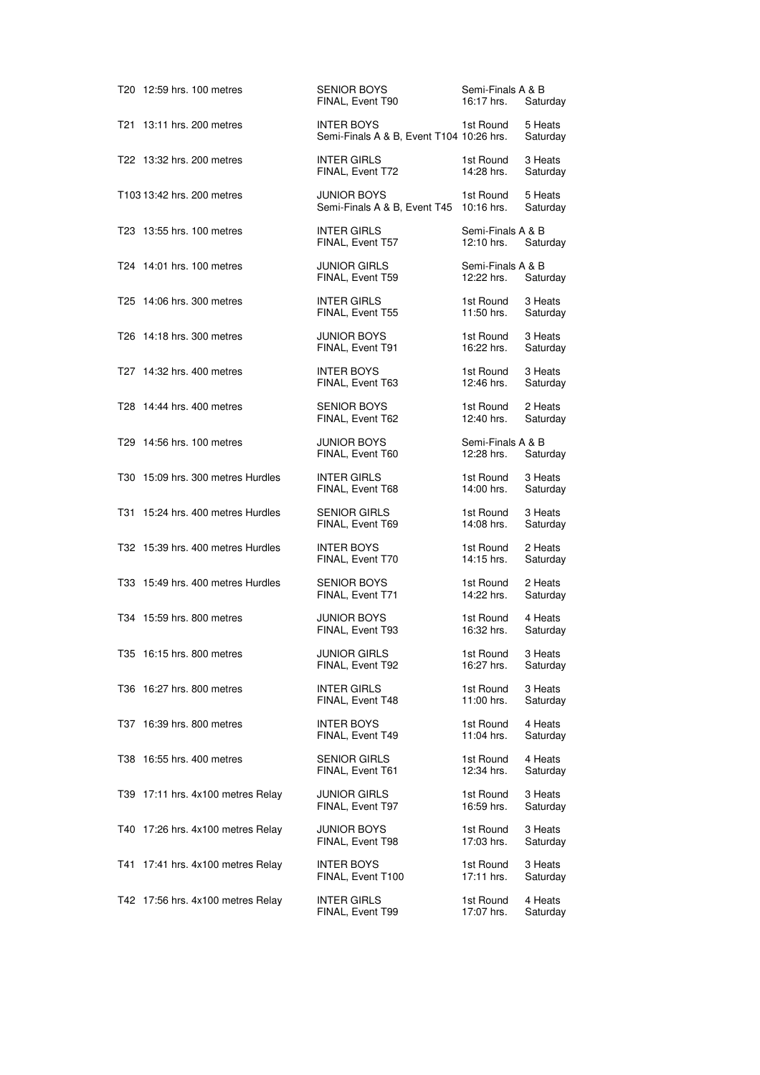| T20 12:59 hrs. 100 metres         | <b>SENIOR BOYS</b><br>FINAL, Event T90                        | Semi-Finals A & B<br>16:17 hrs. | Saturday            |
|-----------------------------------|---------------------------------------------------------------|---------------------------------|---------------------|
| T21 13:11 hrs. 200 metres         | <b>INTER BOYS</b><br>Semi-Finals A & B, Event T104 10:26 hrs. | 1st Round                       | 5 Heats<br>Saturday |
| T22 13:32 hrs. 200 metres         | <b>INTER GIRLS</b><br>FINAL, Event T72                        | 1st Round<br>14:28 hrs.         | 3 Heats<br>Saturday |
| T103 13:42 hrs. 200 metres        | <b>JUNIOR BOYS</b><br>Semi-Finals A & B, Event T45 10:16 hrs. | 1st Round                       | 5 Heats<br>Saturday |
| T23 13:55 hrs. 100 metres         | <b>INTER GIRLS</b><br>FINAL, Event T57                        | Semi-Finals A & B<br>12:10 hrs. | Saturday            |
| T24 14:01 hrs. 100 metres         | <b>JUNIOR GIRLS</b><br>FINAL, Event T59                       | Semi-Finals A & B<br>12:22 hrs. | Saturday            |
| T25 14:06 hrs. 300 metres         | <b>INTER GIRLS</b><br>FINAL, Event T55                        | 1st Round<br>11:50 hrs.         | 3 Heats<br>Saturday |
| T26 14:18 hrs. 300 metres         | <b>JUNIOR BOYS</b><br>FINAL, Event T91                        | 1st Round<br>16:22 hrs.         | 3 Heats<br>Saturday |
| T27 14:32 hrs. 400 metres         | <b>INTER BOYS</b><br>FINAL, Event T63                         | 1st Round<br>12:46 hrs.         | 3 Heats<br>Saturday |
| T28 14:44 hrs. 400 metres         | <b>SENIOR BOYS</b><br>FINAL, Event T62                        | 1st Round<br>12:40 hrs.         | 2 Heats<br>Saturday |
| T29 14:56 hrs. 100 metres         | <b>JUNIOR BOYS</b><br>FINAL, Event T60                        | Semi-Finals A & B<br>12:28 hrs. | Saturday            |
| T30 15:09 hrs. 300 metres Hurdles | <b>INTER GIRLS</b><br>FINAL, Event T68                        | 1st Round<br>14:00 hrs.         | 3 Heats<br>Saturday |
| T31 15:24 hrs. 400 metres Hurdles | <b>SENIOR GIRLS</b><br>FINAL, Event T69                       | 1st Round<br>14:08 hrs.         | 3 Heats<br>Saturday |
| T32 15:39 hrs. 400 metres Hurdles | <b>INTER BOYS</b><br>FINAL, Event T70                         | 1st Round<br>14:15 hrs.         | 2 Heats<br>Saturday |
| T33 15:49 hrs. 400 metres Hurdles | <b>SENIOR BOYS</b><br>FINAL, Event T71                        | 1st Round<br>14:22 hrs.         | 2 Heats<br>Saturday |
| T34 15:59 hrs. 800 metres         | <b>JUNIOR BOYS</b><br>FINAL, Event T93                        | 1st Round<br>16:32 hrs.         | 4 Heats<br>Saturday |
| T35 16:15 hrs. 800 metres         | <b>JUNIOR GIRLS</b><br>FINAL, Event T92                       | 1st Round<br>16:27 hrs.         | 3 Heats<br>Saturday |
| T36 16:27 hrs. 800 metres         | <b>INTER GIRLS</b><br>FINAL, Event T48                        | 1st Round<br>11:00 hrs.         | 3 Heats<br>Saturday |
| T37 16:39 hrs. 800 metres         | <b>INTER BOYS</b><br>FINAL, Event T49                         | 1st Round<br>11:04 hrs.         | 4 Heats<br>Saturday |
| T38 16:55 hrs. 400 metres         | <b>SENIOR GIRLS</b><br>FINAL, Event T61                       | 1st Round<br>12:34 hrs.         | 4 Heats<br>Saturday |
| T39 17:11 hrs. 4x100 metres Relay | <b>JUNIOR GIRLS</b><br>FINAL, Event T97                       | 1st Round<br>16:59 hrs.         | 3 Heats<br>Saturday |
| T40 17:26 hrs. 4x100 metres Relay | JUNIOR BOYS<br>FINAL, Event T98                               | 1st Round<br>17:03 hrs.         | 3 Heats<br>Saturday |
| T41 17:41 hrs. 4x100 metres Relay | <b>INTER BOYS</b><br>FINAL, Event T100                        | 1st Round<br>17:11 hrs.         | 3 Heats<br>Saturday |
| T42 17:56 hrs. 4x100 metres Relay | <b>INTER GIRLS</b><br>FINAL, Event T99                        | 1st Round<br>17:07 hrs.         | 4 Heats<br>Saturday |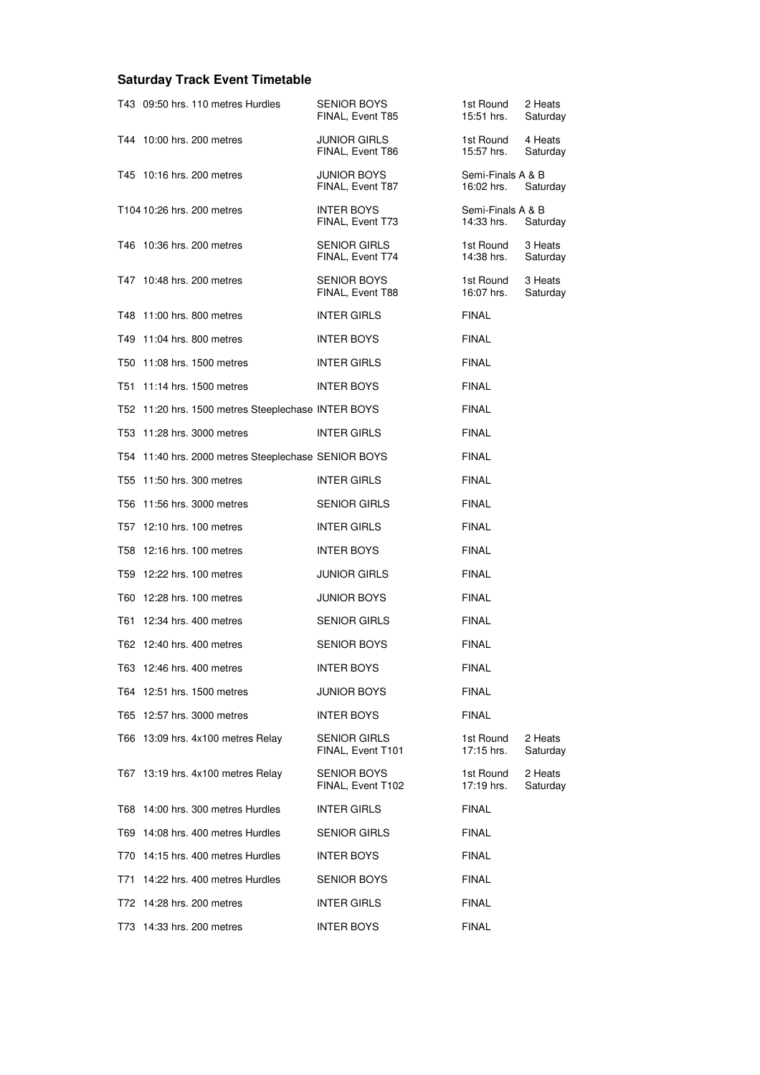# **Saturday Track Event Timetable**

|  | T43 09:50 hrs. 110 metres Hurdles                   | <b>SENIOR BOYS</b><br>FINAL, Event T85   | 1st Round<br>15:51 hrs.         | 2 Heats<br>Saturday |
|--|-----------------------------------------------------|------------------------------------------|---------------------------------|---------------------|
|  | T44 10:00 hrs. 200 metres                           | <b>JUNIOR GIRLS</b><br>FINAL, Event T86  | 1st Round<br>15:57 hrs.         | 4 Heats<br>Saturday |
|  | T45 10:16 hrs. 200 metres                           | <b>JUNIOR BOYS</b><br>FINAL, Event T87   | Semi-Finals A & B<br>16:02 hrs. | Saturday            |
|  | T104 10:26 hrs. 200 metres                          | <b>INTER BOYS</b><br>FINAL, Event T73    | Semi-Finals A & B<br>14:33 hrs. | Saturday            |
|  | T46 10:36 hrs. 200 metres                           | <b>SENIOR GIRLS</b><br>FINAL, Event T74  | 1st Round<br>14:38 hrs.         | 3 Heats<br>Saturday |
|  | T47 10:48 hrs. 200 metres                           | <b>SENIOR BOYS</b><br>FINAL, Event T88   | 1st Round<br>16:07 hrs.         | 3 Heats<br>Saturday |
|  | T48 11:00 hrs. 800 metres                           | <b>INTER GIRLS</b>                       | <b>FINAL</b>                    |                     |
|  | T49 11:04 hrs. 800 metres                           | <b>INTER BOYS</b>                        | <b>FINAL</b>                    |                     |
|  | T50 11:08 hrs. 1500 metres                          | <b>INTER GIRLS</b>                       | <b>FINAL</b>                    |                     |
|  | T51 11:14 hrs. 1500 metres                          | <b>INTER BOYS</b>                        | <b>FINAL</b>                    |                     |
|  | T52 11:20 hrs. 1500 metres Steeplechase INTER BOYS  |                                          | <b>FINAL</b>                    |                     |
|  | T53 11:28 hrs. 3000 metres                          | <b>INTER GIRLS</b>                       | <b>FINAL</b>                    |                     |
|  | T54 11:40 hrs. 2000 metres Steeplechase SENIOR BOYS |                                          | <b>FINAL</b>                    |                     |
|  | T55 11:50 hrs. 300 metres                           | <b>INTER GIRLS</b>                       | <b>FINAL</b>                    |                     |
|  | T56 11:56 hrs. 3000 metres                          | <b>SENIOR GIRLS</b>                      | <b>FINAL</b>                    |                     |
|  | T57 12:10 hrs. 100 metres                           | <b>INTER GIRLS</b>                       | <b>FINAL</b>                    |                     |
|  | T58 12:16 hrs. 100 metres                           | <b>INTER BOYS</b>                        | <b>FINAL</b>                    |                     |
|  | T59 12:22 hrs. 100 metres                           | <b>JUNIOR GIRLS</b>                      | <b>FINAL</b>                    |                     |
|  | T60 12:28 hrs. 100 metres                           | <b>JUNIOR BOYS</b>                       | <b>FINAL</b>                    |                     |
|  | T61 12:34 hrs. 400 metres                           | <b>SENIOR GIRLS</b>                      | <b>FINAL</b>                    |                     |
|  | T62 12:40 hrs. 400 metres                           | <b>SENIOR BOYS</b>                       | <b>FINAL</b>                    |                     |
|  | T63 12:46 hrs. 400 metres                           | <b>INTER BOYS</b>                        | <b>FINAL</b>                    |                     |
|  | T64 12:51 hrs. 1500 metres                          | <b>JUNIOR BOYS</b>                       | <b>FINAL</b>                    |                     |
|  | T65 12:57 hrs. 3000 metres                          | <b>INTER BOYS</b>                        | <b>FINAL</b>                    |                     |
|  | T66 13:09 hrs. 4x100 metres Relay                   | <b>SENIOR GIRLS</b><br>FINAL, Event T101 | 1st Round<br>17:15 hrs.         | 2 Heats<br>Saturday |
|  | T67 13:19 hrs. 4x100 metres Relay                   | <b>SENIOR BOYS</b><br>FINAL, Event T102  | 1st Round<br>17:19 hrs.         | 2 Heats<br>Saturday |
|  | T68 14:00 hrs. 300 metres Hurdles                   | <b>INTER GIRLS</b>                       | <b>FINAL</b>                    |                     |
|  | T69 14:08 hrs. 400 metres Hurdles                   | <b>SENIOR GIRLS</b>                      | <b>FINAL</b>                    |                     |
|  | T70 14:15 hrs. 400 metres Hurdles                   | <b>INTER BOYS</b>                        | <b>FINAL</b>                    |                     |
|  | T71 14:22 hrs. 400 metres Hurdles                   | <b>SENIOR BOYS</b>                       | <b>FINAL</b>                    |                     |
|  | T72 14:28 hrs. 200 metres                           | <b>INTER GIRLS</b>                       | <b>FINAL</b>                    |                     |
|  | T73 14:33 hrs. 200 metres                           | <b>INTER BOYS</b>                        | <b>FINAL</b>                    |                     |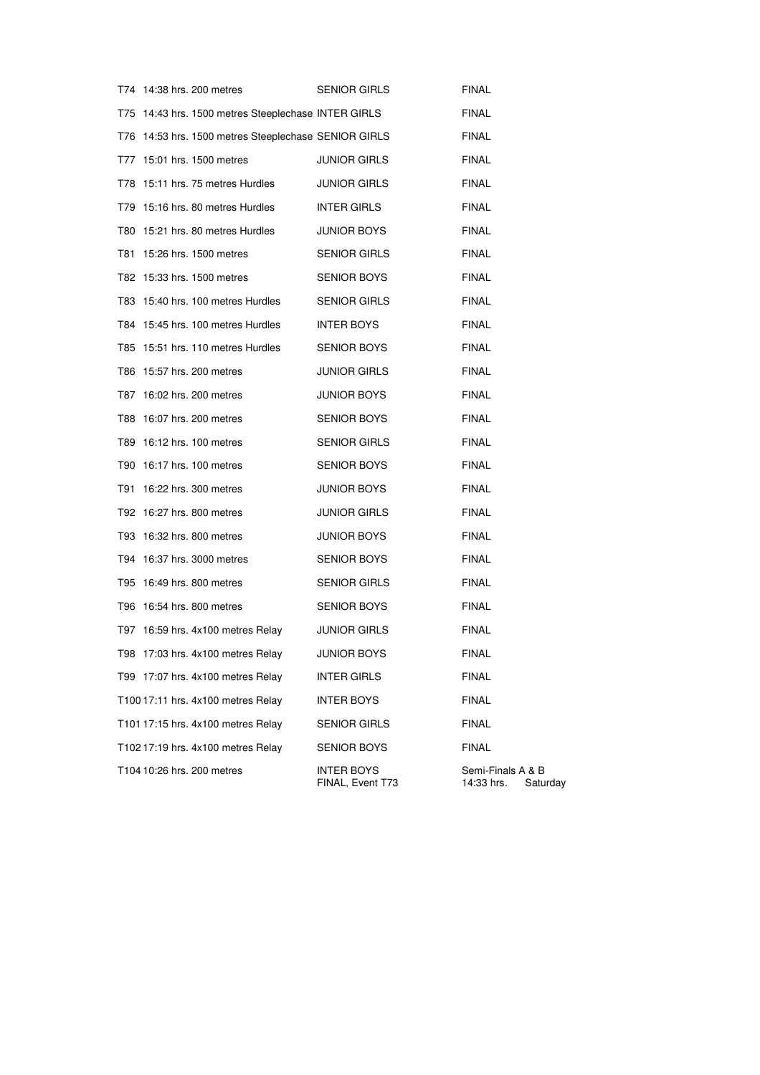| T74 14:38 hrs. 200 metres                            | <b>SENIOR GIRLS</b>                   | <b>FINAL</b>                                |
|------------------------------------------------------|---------------------------------------|---------------------------------------------|
| T75 14:43 hrs. 1500 metres Steeplechase INTER GIRLS  |                                       | <b>FINAL</b>                                |
| T76 14:53 hrs. 1500 metres Steeplechase SENIOR GIRLS |                                       | <b>FINAL</b>                                |
| T77 15:01 hrs. 1500 metres                           | JUNIOR GIRLS                          | <b>FINAL</b>                                |
| T78 15:11 hrs. 75 metres Hurdles                     | <b>JUNIOR GIRLS</b>                   | <b>FINAL</b>                                |
| T79 15:16 hrs. 80 metres Hurdles                     | INTER GIRLS                           | <b>FINAL</b>                                |
| T80 15:21 hrs. 80 metres Hurdles                     | JUNIOR BOYS                           | <b>FINAL</b>                                |
| T81 15:26 hrs. 1500 metres                           | SENIOR GIRLS                          | <b>FINAL</b>                                |
| T82 15:33 hrs. 1500 metres                           | SENIOR BOYS                           | <b>FINAL</b>                                |
| T83 15:40 hrs. 100 metres Hurdles                    | SENIOR GIRLS                          | <b>FINAL</b>                                |
| T84 15:45 hrs. 100 metres Hurdles                    | INTER BOYS                            | <b>FINAL</b>                                |
| T85 15:51 hrs. 110 metres Hurdles                    | SENIOR BOYS                           | <b>FINAL</b>                                |
| T86 15:57 hrs. 200 metres                            | JUNIOR GIRLS                          | FINAL                                       |
| T87 16:02 hrs. 200 metres                            | JUNIOR BOYS                           | <b>FINAL</b>                                |
| T88 16:07 hrs. 200 metres                            | SENIOR BOYS                           | <b>FINAL</b>                                |
| T89 16:12 hrs. 100 metres                            | SENIOR GIRLS                          | <b>FINAL</b>                                |
| T90 16:17 hrs. 100 metres                            | SENIOR BOYS                           | <b>FINAL</b>                                |
| T91 16:22 hrs. 300 metres                            | JUNIOR BOYS                           | <b>FINAL</b>                                |
| T92 16:27 hrs. 800 metres                            | JUNIOR GIRLS                          | <b>FINAL</b>                                |
| T93 16:32 hrs. 800 metres                            | JUNIOR BOYS                           | <b>FINAL</b>                                |
| T94 16:37 hrs. 3000 metres                           | SENIOR BOYS                           | <b>FINAL</b>                                |
| T95 16:49 hrs. 800 metres                            | SENIOR GIRLS                          | <b>FINAL</b>                                |
| T96 16:54 hrs. 800 metres                            | SENIOR BOYS                           | <b>FINAL</b>                                |
| T97 16:59 hrs. 4x100 metres Relay                    | JUNIOR GIRLS                          | <b>FINAL</b>                                |
| T98 17:03 hrs. 4x100 metres Relay                    | <b>JUNIOR BOYS</b>                    | FINAL                                       |
| T99 17:07 hrs. 4x100 metres Relay                    | <b>INTER GIRLS</b>                    | <b>FINAL</b>                                |
| T100 17:11 hrs. 4x100 metres Relay                   | <b>INTER BOYS</b>                     | <b>FINAL</b>                                |
| T101 17:15 hrs. 4x100 metres Relay                   | SENIOR GIRLS                          | <b>FINAL</b>                                |
| T102 17:19 hrs. 4x100 metres Relay                   | SENIOR BOYS                           | <b>FINAL</b>                                |
| T104 10:26 hrs. 200 metres                           | <b>INTER BOYS</b><br>FINAL, Event T73 | Semi-Finals A & B<br>14:33 hrs.<br>Saturday |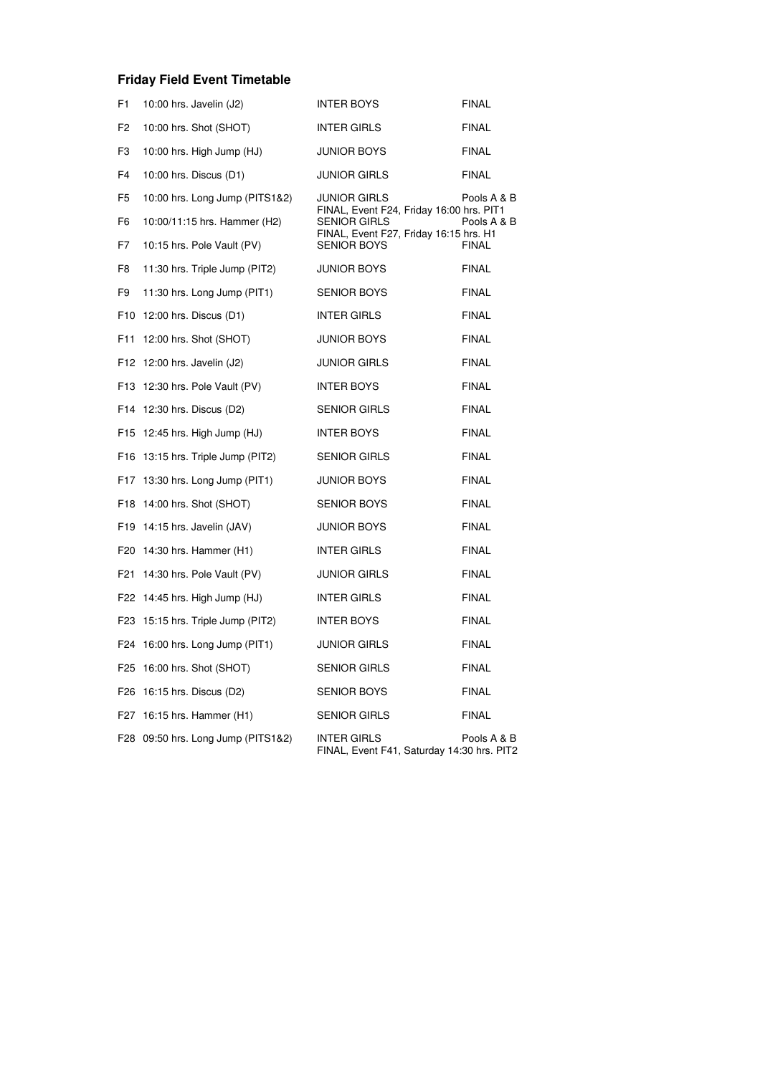# **Friday Field Event Timetable**

| F <sub>1</sub> | 10:00 hrs. Javelin (J2)            | <b>INTER BOYS</b>                                                                                         | <b>FINAL</b> |
|----------------|------------------------------------|-----------------------------------------------------------------------------------------------------------|--------------|
| F <sub>2</sub> | 10:00 hrs. Shot (SHOT)             | <b>INTER GIRLS</b>                                                                                        | <b>FINAL</b> |
| F3             | 10:00 hrs. High Jump (HJ)          | <b>JUNIOR BOYS</b>                                                                                        | <b>FINAL</b> |
| F <sub>4</sub> | 10:00 hrs. Discus (D1)             | <b>JUNIOR GIRLS</b>                                                                                       | <b>FINAL</b> |
| F5             | 10:00 hrs. Long Jump (PITS1&2)     | JUNIOR GIRLS                                                                                              | Pools A & B  |
| F6             | 10:00/11:15 hrs. Hammer (H2)       | FINAL, Event F24, Friday 16:00 hrs. PIT1<br><b>SENIOR GIRLS</b><br>FINAL, Event F27, Friday 16:15 hrs. H1 | Pools A & B  |
| F7             | 10:15 hrs. Pole Vault (PV)         | <b>SENIOR BOYS</b>                                                                                        | <b>FINAL</b> |
| F8             | 11:30 hrs. Triple Jump (PIT2)      | <b>JUNIOR BOYS</b>                                                                                        | <b>FINAL</b> |
| F9             | 11:30 hrs. Long Jump (PIT1)        | <b>SENIOR BOYS</b>                                                                                        | <b>FINAL</b> |
|                | F10 12:00 hrs. Discus (D1)         | <b>INTER GIRLS</b>                                                                                        | <b>FINAL</b> |
| F11            | 12:00 hrs. Shot (SHOT)             | <b>JUNIOR BOYS</b>                                                                                        | <b>FINAL</b> |
|                | F12 12:00 hrs. Javelin (J2)        | <b>JUNIOR GIRLS</b>                                                                                       | <b>FINAL</b> |
|                | F13 12:30 hrs. Pole Vault (PV)     | <b>INTER BOYS</b>                                                                                         | <b>FINAL</b> |
|                | F14 12:30 hrs. Discus (D2)         | <b>SENIOR GIRLS</b>                                                                                       | <b>FINAL</b> |
|                | F15 12:45 hrs. High Jump (HJ)      | <b>INTER BOYS</b>                                                                                         | <b>FINAL</b> |
|                | F16 13:15 hrs. Triple Jump (PIT2)  | <b>SENIOR GIRLS</b>                                                                                       | <b>FINAL</b> |
|                | F17 13:30 hrs. Long Jump (PIT1)    | <b>JUNIOR BOYS</b>                                                                                        | <b>FINAL</b> |
|                | F18 14:00 hrs. Shot (SHOT)         | <b>SENIOR BOYS</b>                                                                                        | <b>FINAL</b> |
|                | F19 14:15 hrs. Javelin (JAV)       | <b>JUNIOR BOYS</b>                                                                                        | <b>FINAL</b> |
|                | F20 14:30 hrs. Hammer (H1)         | <b>INTER GIRLS</b>                                                                                        | <b>FINAL</b> |
|                | F21 14:30 hrs. Pole Vault (PV)     | <b>JUNIOR GIRLS</b>                                                                                       | <b>FINAL</b> |
|                | F22 14:45 hrs. High Jump (HJ)      | <b>INTER GIRLS</b>                                                                                        | <b>FINAL</b> |
|                | F23 15:15 hrs. Triple Jump (PIT2)  | <b>INTER BOYS</b>                                                                                         | <b>FINAL</b> |
|                | F24 16:00 hrs. Long Jump (PIT1)    | <b>JUNIOR GIRLS</b>                                                                                       | <b>FINAL</b> |
|                | F25 16:00 hrs. Shot (SHOT)         | <b>SENIOR GIRLS</b>                                                                                       | <b>FINAL</b> |
|                | F26 16:15 hrs. Discus (D2)         | <b>SENIOR BOYS</b>                                                                                        | <b>FINAL</b> |
|                | F27 16:15 hrs. Hammer (H1)         | <b>SENIOR GIRLS</b>                                                                                       | <b>FINAL</b> |
|                | F28 09:50 hrs. Long Jump (PITS1&2) | <b>INTER GIRLS</b><br>FINAL, Event F41, Saturday 14:30 hrs. PIT2                                          | Pools A & B  |